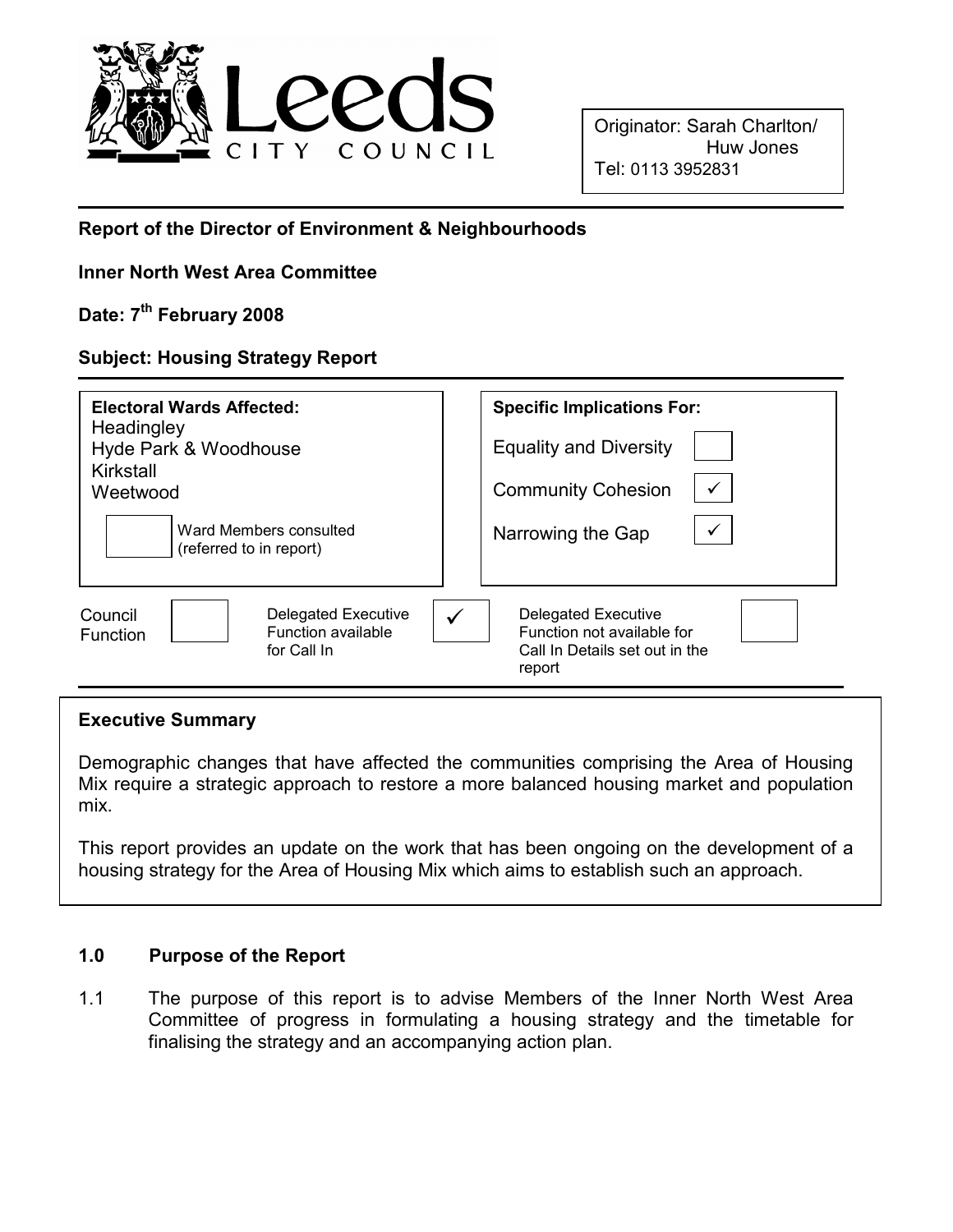

Originator: Sarah Charlton/ Huw Jones Tel: 0113 3952831

#### Report of the Director of Environment & Neighbourhoods

#### Inner North West Area Committee

# Date: 7<sup>th</sup> February 2008

### Subject: Housing Strategy Report

| <b>Electoral Wards Affected:</b>                                                | <b>Specific Implications For:</b>                                                                    |  |
|---------------------------------------------------------------------------------|------------------------------------------------------------------------------------------------------|--|
| Headingley<br>Hyde Park & Woodhouse                                             | <b>Equality and Diversity</b>                                                                        |  |
| Kirkstall<br>Weetwood                                                           | $\checkmark$<br><b>Community Cohesion</b>                                                            |  |
| Ward Members consulted<br>(referred to in report)                               | ✓<br>Narrowing the Gap                                                                               |  |
| Council<br>Delegated Executive<br>Function available<br>Function<br>for Call In | <b>Delegated Executive</b><br>Function not available for<br>Call In Details set out in the<br>report |  |

#### Executive Summary

Demographic changes that have affected the communities comprising the Area of Housing Mix require a strategic approach to restore a more balanced housing market and population mix.

This report provides an update on the work that has been ongoing on the development of a housing strategy for the Area of Housing Mix which aims to establish such an approach.

#### 1.0 Purpose of the Report

1.1 The purpose of this report is to advise Members of the Inner North West Area Committee of progress in formulating a housing strategy and the timetable for finalising the strategy and an accompanying action plan.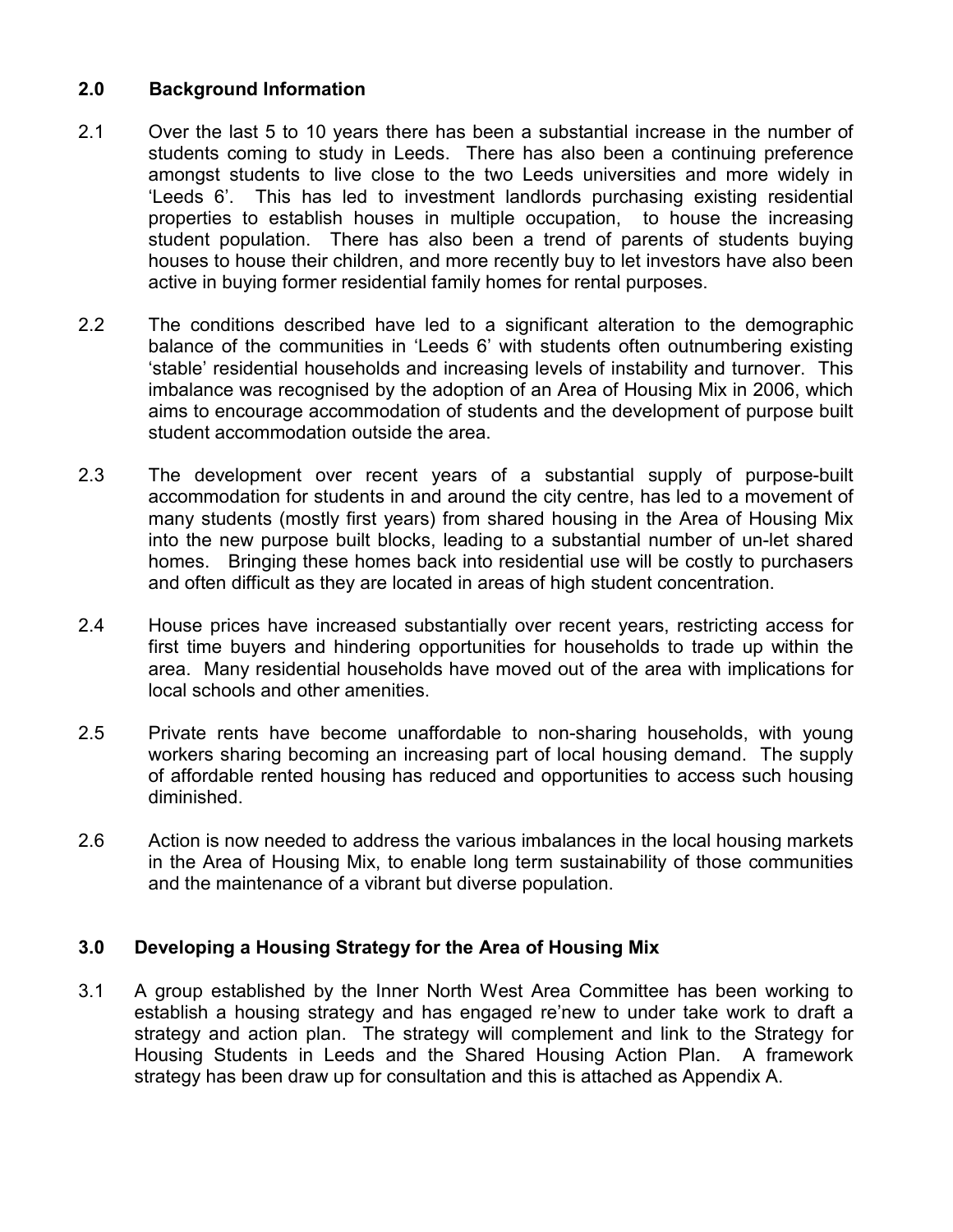## 2.0 Background Information

- 2.1 Over the last 5 to 10 years there has been a substantial increase in the number of students coming to study in Leeds. There has also been a continuing preference amongst students to live close to the two Leeds universities and more widely in 'Leeds 6'. This has led to investment landlords purchasing existing residential properties to establish houses in multiple occupation, to house the increasing student population. There has also been a trend of parents of students buying houses to house their children, and more recently buy to let investors have also been active in buying former residential family homes for rental purposes.
- 2.2 The conditions described have led to a significant alteration to the demographic balance of the communities in 'Leeds 6' with students often outnumbering existing 'stable' residential households and increasing levels of instability and turnover. This imbalance was recognised by the adoption of an Area of Housing Mix in 2006, which aims to encourage accommodation of students and the development of purpose built student accommodation outside the area.
- 2.3 The development over recent years of a substantial supply of purpose-built accommodation for students in and around the city centre, has led to a movement of many students (mostly first years) from shared housing in the Area of Housing Mix into the new purpose built blocks, leading to a substantial number of un-let shared homes. Bringing these homes back into residential use will be costly to purchasers and often difficult as they are located in areas of high student concentration.
- 2.4 House prices have increased substantially over recent years, restricting access for first time buyers and hindering opportunities for households to trade up within the area. Many residential households have moved out of the area with implications for local schools and other amenities.
- 2.5 Private rents have become unaffordable to non-sharing households, with young workers sharing becoming an increasing part of local housing demand. The supply of affordable rented housing has reduced and opportunities to access such housing diminished.
- 2.6 Action is now needed to address the various imbalances in the local housing markets in the Area of Housing Mix, to enable long term sustainability of those communities and the maintenance of a vibrant but diverse population.

#### 3.0 Developing a Housing Strategy for the Area of Housing Mix

3.1 A group established by the Inner North West Area Committee has been working to establish a housing strategy and has engaged re'new to under take work to draft a strategy and action plan. The strategy will complement and link to the Strategy for Housing Students in Leeds and the Shared Housing Action Plan. A framework strategy has been draw up for consultation and this is attached as Appendix A.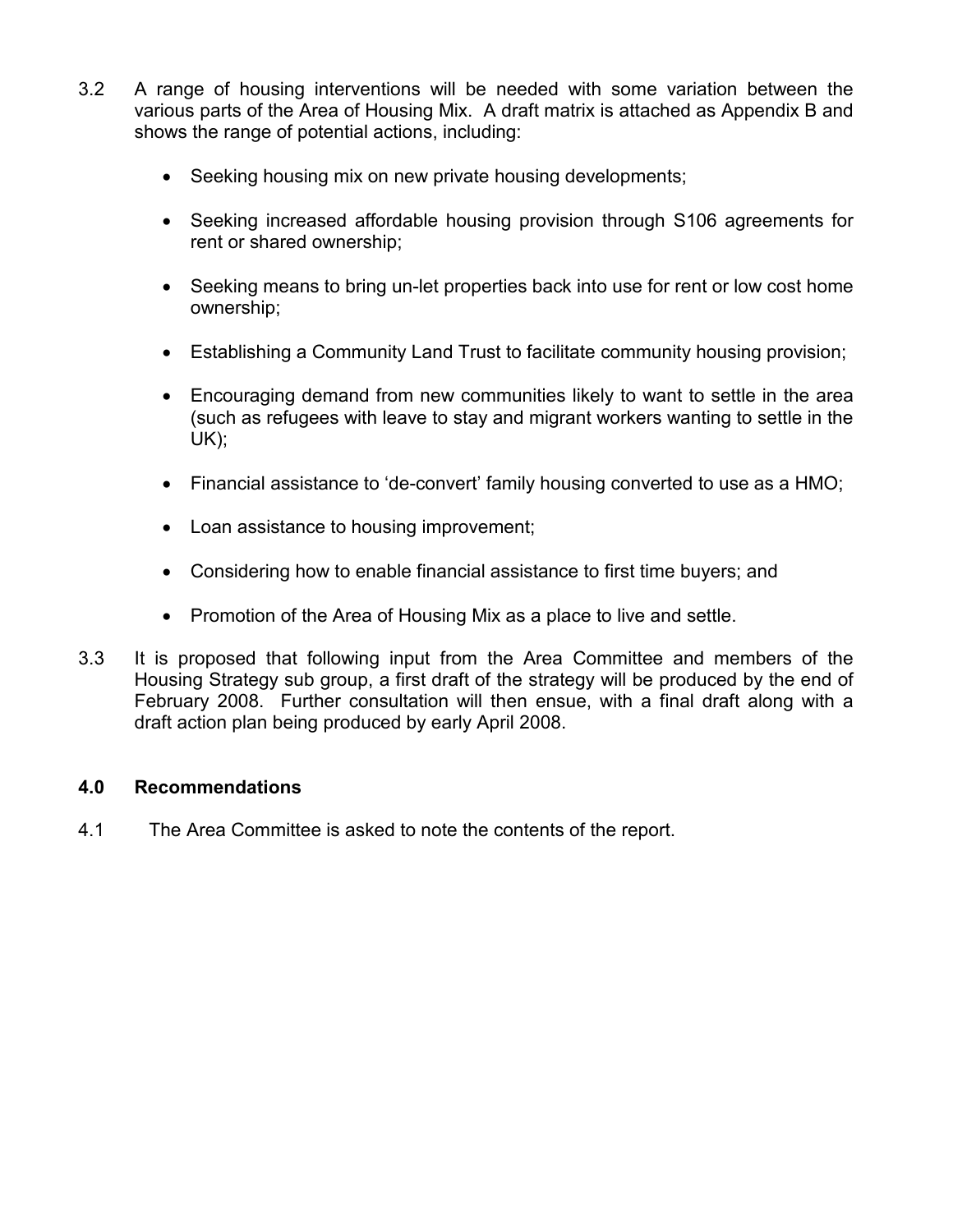- 3.2 A range of housing interventions will be needed with some variation between the various parts of the Area of Housing Mix. A draft matrix is attached as Appendix B and shows the range of potential actions, including:
	- Seeking housing mix on new private housing developments;
	- Seeking increased affordable housing provision through S106 agreements for rent or shared ownership;
	- Seeking means to bring un-let properties back into use for rent or low cost home ownership;
	- Establishing a Community Land Trust to facilitate community housing provision;
	- Encouraging demand from new communities likely to want to settle in the area (such as refugees with leave to stay and migrant workers wanting to settle in the UK);
	- Financial assistance to 'de-convert' family housing converted to use as a HMO;
	- Loan assistance to housing improvement;
	- Considering how to enable financial assistance to first time buyers; and
	- Promotion of the Area of Housing Mix as a place to live and settle.
- 3.3 It is proposed that following input from the Area Committee and members of the Housing Strategy sub group, a first draft of the strategy will be produced by the end of February 2008. Further consultation will then ensue, with a final draft along with a draft action plan being produced by early April 2008.

#### 4.0 Recommendations

4.1 The Area Committee is asked to note the contents of the report.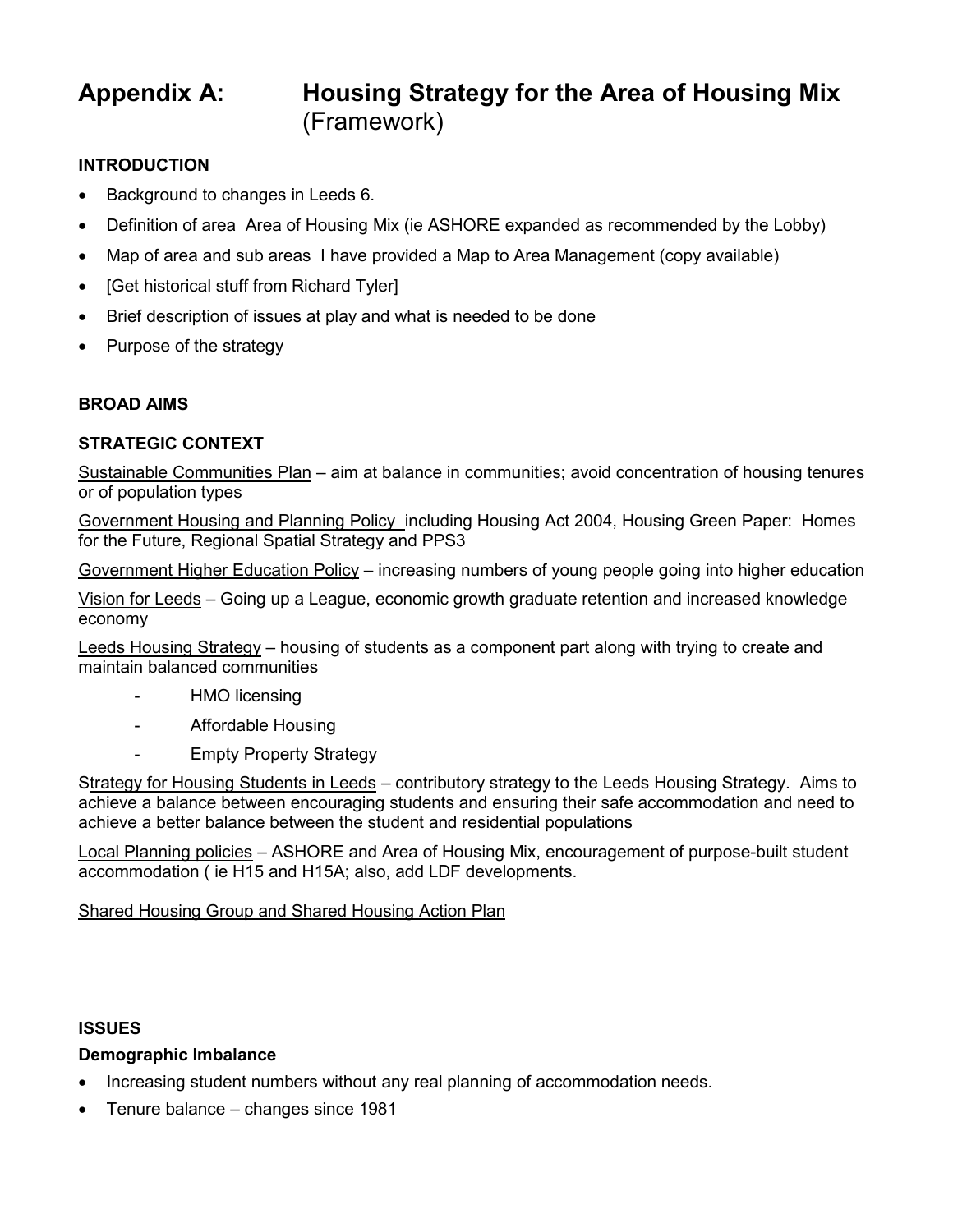# Appendix A: Housing Strategy for the Area of Housing Mix (Framework)

#### INTRODUCTION

- Background to changes in Leeds 6.
- Definition of area Area of Housing Mix (ie ASHORE expanded as recommended by the Lobby)
- Map of area and sub areas I have provided a Map to Area Management (copy available)
- [Get historical stuff from Richard Tyler]
- Brief description of issues at play and what is needed to be done
- Purpose of the strategy

#### BROAD AIMS

#### STRATEGIC CONTEXT

Sustainable Communities Plan – aim at balance in communities; avoid concentration of housing tenures or of population types

Government Housing and Planning Policy including Housing Act 2004, Housing Green Paper: Homes for the Future, Regional Spatial Strategy and PPS3

Government Higher Education Policy – increasing numbers of young people going into higher education

Vision for Leeds – Going up a League, economic growth graduate retention and increased knowledge economy

Leeds Housing Strategy – housing of students as a component part along with trying to create and maintain balanced communities

- HMO licensing
- Affordable Housing
- **Empty Property Strategy**

Strategy for Housing Students in Leeds – contributory strategy to the Leeds Housing Strategy. Aims to achieve a balance between encouraging students and ensuring their safe accommodation and need to achieve a better balance between the student and residential populations

Local Planning policies – ASHORE and Area of Housing Mix, encouragement of purpose-built student accommodation ( ie H15 and H15A; also, add LDF developments.

Shared Housing Group and Shared Housing Action Plan

#### ISSUES

# Demographic Imbalance

- Increasing student numbers without any real planning of accommodation needs.
- Tenure balance changes since 1981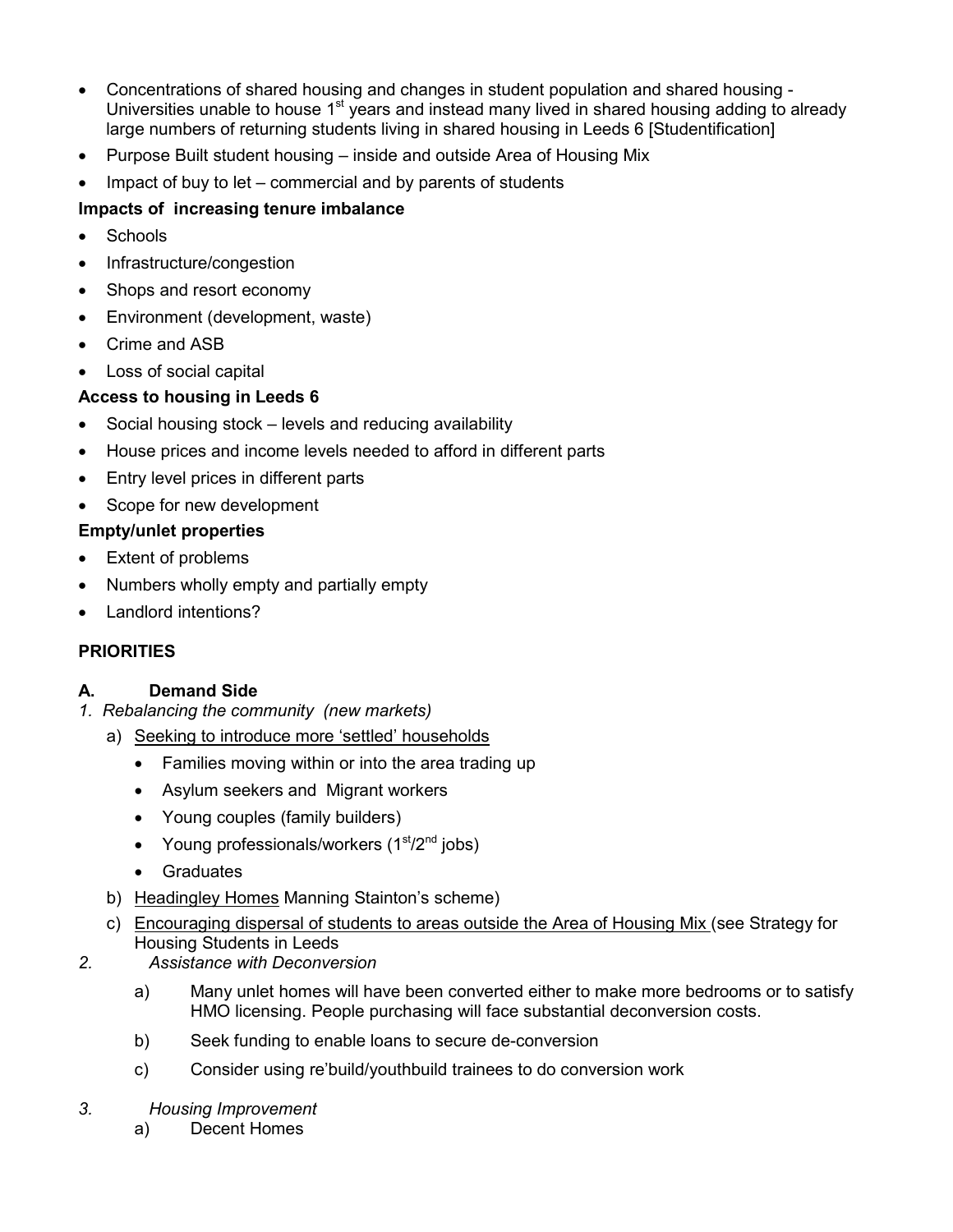- Concentrations of shared housing and changes in student population and shared housing Universities unable to house 1<sup>st</sup> years and instead many lived in shared housing adding to already large numbers of returning students living in shared housing in Leeds 6 [Studentification]
- Purpose Built student housing inside and outside Area of Housing Mix
- Impact of buy to let  $-$  commercial and by parents of students

# Impacts of increasing tenure imbalance

- Schools
- Infrastructure/congestion
- Shops and resort economy
- Environment (development, waste)
- Crime and ASB
- Loss of social capital

# Access to housing in Leeds 6

- Social housing stock levels and reducing availability
- House prices and income levels needed to afford in different parts
- Entry level prices in different parts
- Scope for new development

# Empty/unlet properties

- Extent of problems
- Numbers wholly empty and partially empty
- Landlord intentions?

# **PRIORITIES**

# A. Demand Side

- 1. Rebalancing the community (new markets)
	- a) Seeking to introduce more 'settled' households
		- Families moving within or into the area trading up
		- Asylum seekers and Migrant workers
		- Young couples (family builders)
		- Young professionals/workers  $(1<sup>st</sup>/2<sup>nd</sup>$  jobs)
		- Graduates
	- b) Headingley Homes Manning Stainton's scheme)
	- c) Encouraging dispersal of students to areas outside the Area of Housing Mix (see Strategy for Housing Students in Leeds
- 2. Assistance with Deconversion
	- a) Many unlet homes will have been converted either to make more bedrooms or to satisfy HMO licensing. People purchasing will face substantial deconversion costs.
	- b) Seek funding to enable loans to secure de-conversion
	- c) Consider using re'build/youthbuild trainees to do conversion work
- 3. Housing Improvement
	- a) Decent Homes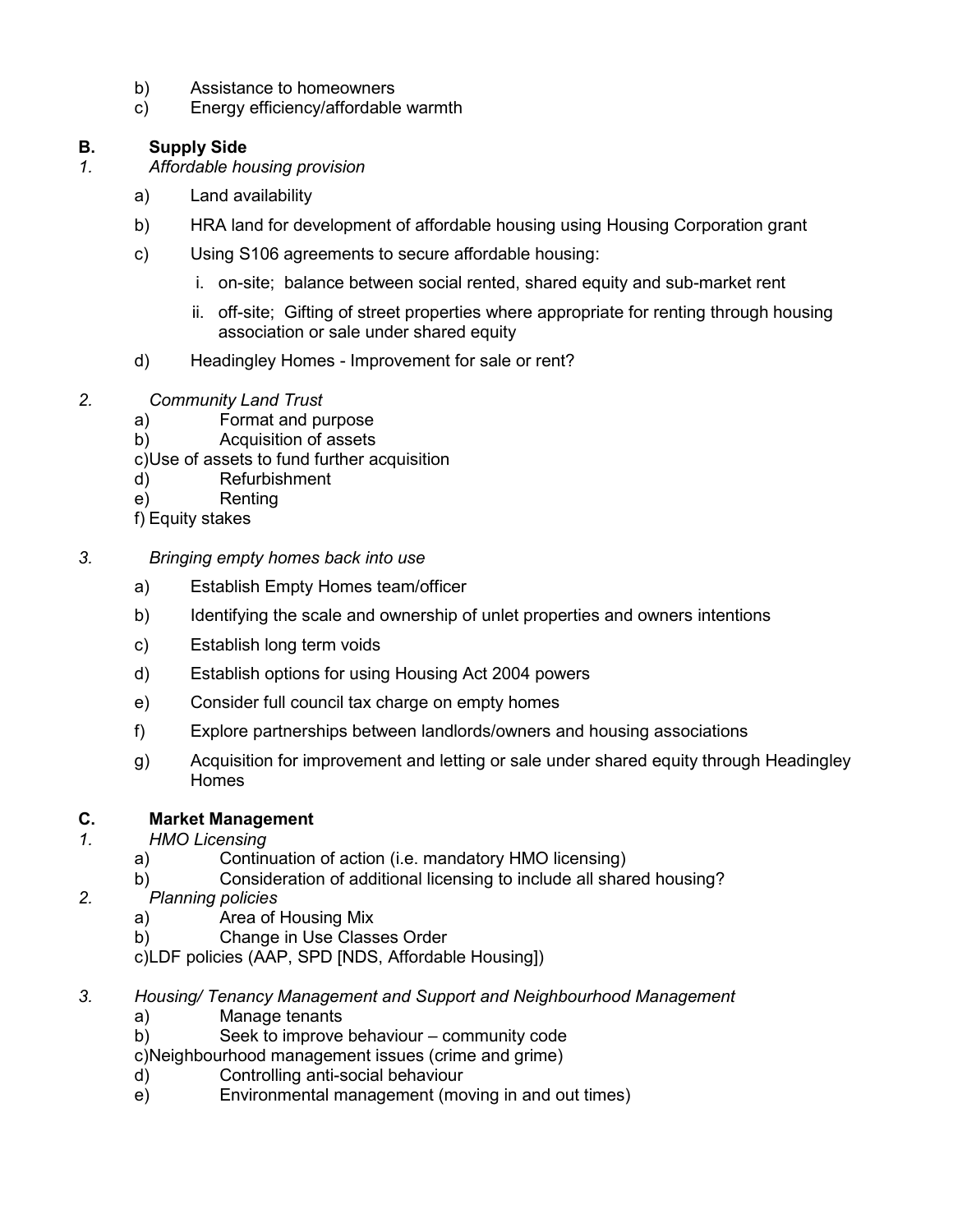- b) Assistance to homeowners
- c) Energy efficiency/affordable warmth

## B. Supply Side

- 1. Affordable housing provision
	- a) Land availability
	- b) HRA land for development of affordable housing using Housing Corporation grant
	- c) Using S106 agreements to secure affordable housing:
		- i. on-site; balance between social rented, shared equity and sub-market rent
		- ii. off-site; Gifting of street properties where appropriate for renting through housing association or sale under shared equity
	- d) Headingley Homes Improvement for sale or rent?
- 2. Community Land Trust
	- a) Format and purpose
	- b) Acquisition of assets
	- c) Use of assets to fund further acquisition
	- d) Refurbishment
	- e) Renting
	- f) Equity stakes
- 3. Bringing empty homes back into use
	- a) Establish Empty Homes team/officer
	- b) Identifying the scale and ownership of unlet properties and owners intentions
	- c) Establish long term voids
	- d) Establish options for using Housing Act 2004 powers
	- e) Consider full council tax charge on empty homes
	- f) Explore partnerships between landlords/owners and housing associations
	- g) Acquisition for improvement and letting or sale under shared equity through Headingley Homes

# C. Market Management

- 1. HMO Licensing
	- a) Continuation of action (i.e. mandatory HMO licensing)
	- b) Consideration of additional licensing to include all shared housing?
- 2. Planning policies
	- a) Area of Housing Mix
	- b) Change in Use Classes Order

c) LDF policies (AAP, SPD [NDS, Affordable Housing])

- 3. Housing/ Tenancy Management and Support and Neighbourhood Management
	- a) Manage tenants
	- b) Seek to improve behaviour community code
	- c) Neighbourhood management issues (crime and grime)
	- d) Controlling anti-social behaviour
	- e) Environmental management (moving in and out times)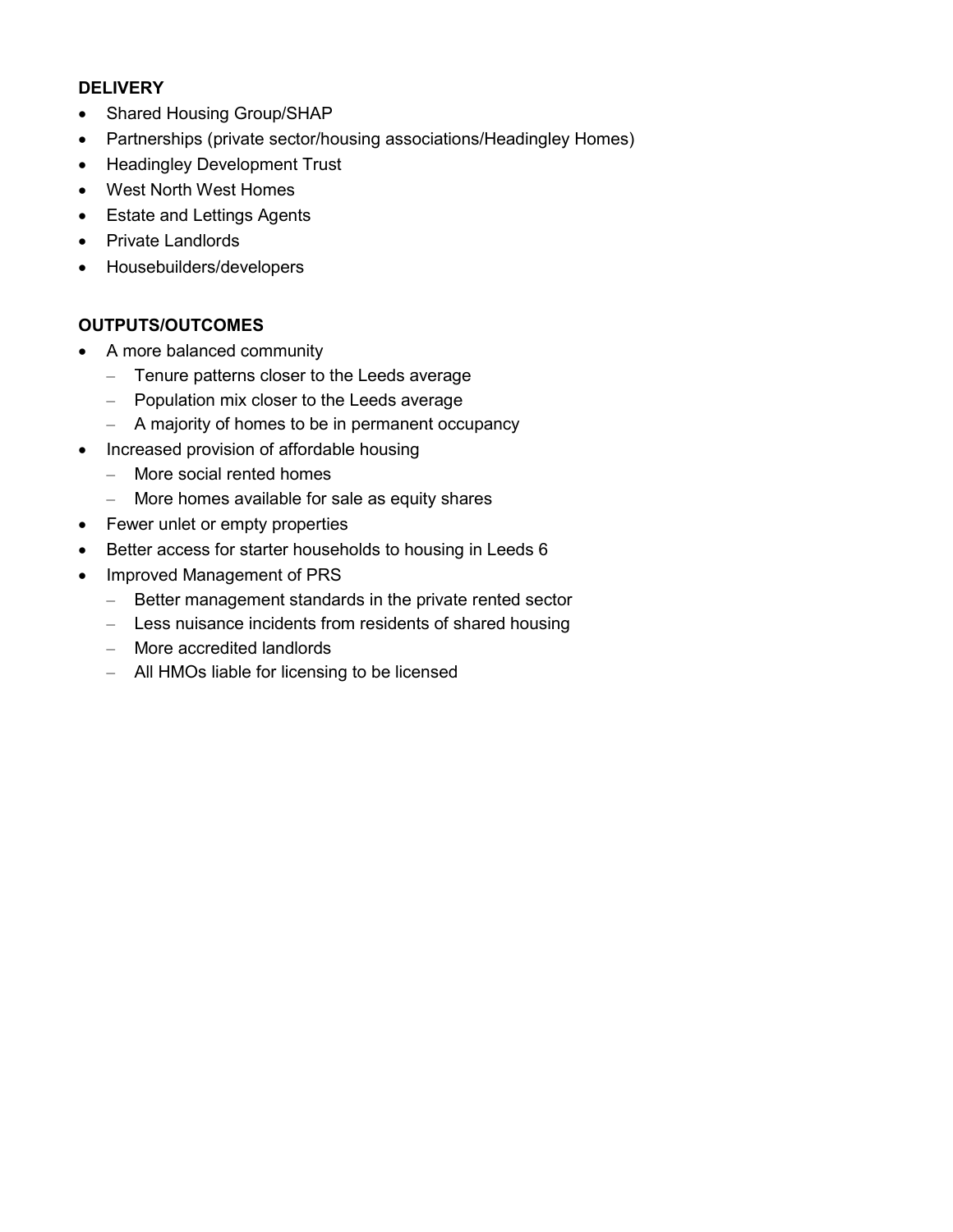#### **DELIVERY**

- Shared Housing Group/SHAP
- Partnerships (private sector/housing associations/Headingley Homes)
- Headingley Development Trust
- West North West Homes
- Estate and Lettings Agents
- Private Landlords
- Housebuilders/developers

# OUTPUTS/OUTCOMES

- A more balanced community
	- Tenure patterns closer to the Leeds average
	- Population mix closer to the Leeds average
	- A majority of homes to be in permanent occupancy
- Increased provision of affordable housing
	- More social rented homes
	- More homes available for sale as equity shares
- Fewer unlet or empty properties
- Better access for starter households to housing in Leeds 6
- Improved Management of PRS
	- Better management standards in the private rented sector
	- Less nuisance incidents from residents of shared housing
	- More accredited landlords
	- All HMOs liable for licensing to be licensed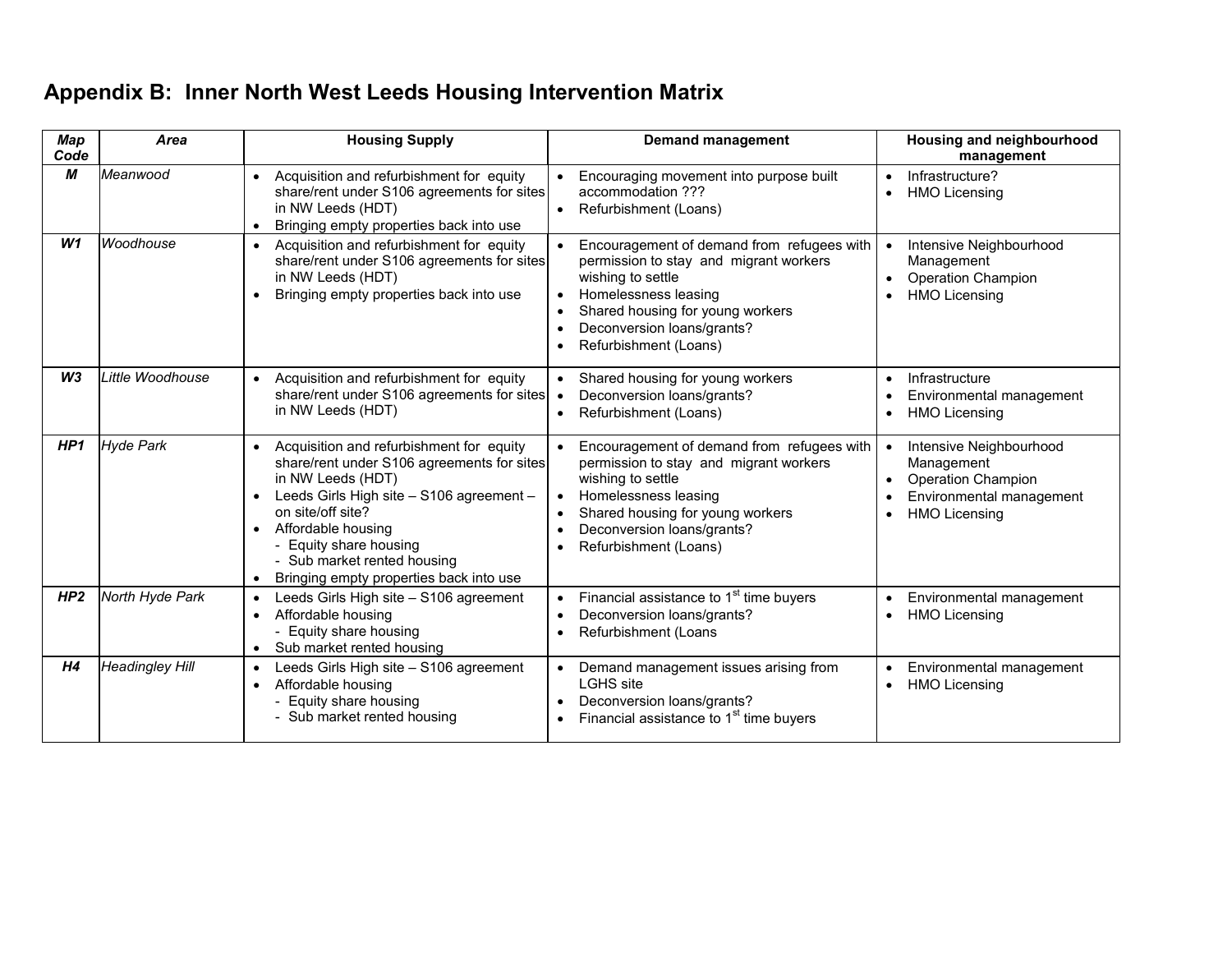# Appendix B: Inner North West Leeds Housing Intervention Matrix

| Map<br>Code    | Area                   | <b>Housing Supply</b>                                                                                                                                                                                                                                                                                                            | <b>Demand management</b>                                                                                                                                                                                                                  | Housing and neighbourhood<br>management                                                                                |
|----------------|------------------------|----------------------------------------------------------------------------------------------------------------------------------------------------------------------------------------------------------------------------------------------------------------------------------------------------------------------------------|-------------------------------------------------------------------------------------------------------------------------------------------------------------------------------------------------------------------------------------------|------------------------------------------------------------------------------------------------------------------------|
| М              | Meanwood               | Acquisition and refurbishment for equity<br>share/rent under S106 agreements for sites<br>in NW Leeds (HDT)<br>Bringing empty properties back into use                                                                                                                                                                           | Encouraging movement into purpose built<br>accommodation ???<br>Refurbishment (Loans)                                                                                                                                                     | Infrastructure?<br><b>HMO Licensing</b>                                                                                |
| W1             | Woodhouse              | Acquisition and refurbishment for equity<br>$\bullet$<br>share/rent under S106 agreements for sites<br>in NW Leeds (HDT)<br>Bringing empty properties back into use                                                                                                                                                              | Encouragement of demand from refugees with<br>permission to stay and migrant workers<br>wishing to settle<br>Homelessness leasing<br>Shared housing for young workers<br>Deconversion loans/grants?<br>Refurbishment (Loans)              | Intensive Neighbourhood<br>Management<br><b>Operation Champion</b><br><b>HMO Licensing</b>                             |
| W <sub>3</sub> | Little Woodhouse       | Acquisition and refurbishment for equity<br>share/rent under S106 agreements for sites<br>in NW Leeds (HDT)                                                                                                                                                                                                                      | Shared housing for young workers<br>Deconversion loans/grants?<br>$\bullet$<br>Refurbishment (Loans)                                                                                                                                      | Infrastructure<br>Environmental management<br><b>HMO Licensing</b>                                                     |
| HP1            | <b>Hyde Park</b>       | Acquisition and refurbishment for equity<br>$\bullet$<br>share/rent under S106 agreements for sites<br>in NW Leeds (HDT)<br>Leeds Girls High site - S106 agreement -<br>on site/off site?<br>Affordable housing<br>- Equity share housing<br>- Sub market rented housing<br>Bringing empty properties back into use<br>$\bullet$ | Encouragement of demand from refugees with<br>permission to stay and migrant workers<br>wishing to settle<br>Homelessness leasing<br>$\bullet$<br>Shared housing for young workers<br>Deconversion loans/grants?<br>Refurbishment (Loans) | Intensive Neighbourhood<br>Management<br><b>Operation Champion</b><br>Environmental management<br><b>HMO Licensing</b> |
| HP2            | North Hyde Park        | Leeds Girls High site - S106 agreement<br>$\bullet$<br>Affordable housing<br>- Equity share housing<br>Sub market rented housing<br>$\bullet$                                                                                                                                                                                    | Financial assistance to 1 <sup>st</sup> time buyers<br>Deconversion loans/grants?<br>Refurbishment (Loans                                                                                                                                 | Environmental management<br><b>HMO Licensing</b>                                                                       |
| H <sub>4</sub> | <b>Headingley Hill</b> | Leeds Girls High site - S106 agreement<br>Affordable housing<br>$\bullet$<br>- Equity share housing<br>- Sub market rented housing                                                                                                                                                                                               | Demand management issues arising from<br>$\bullet$<br><b>LGHS</b> site<br>Deconversion loans/grants?<br>Financial assistance to 1 <sup>st</sup> time buyers                                                                               | Environmental management<br><b>HMO Licensing</b><br>$\bullet$                                                          |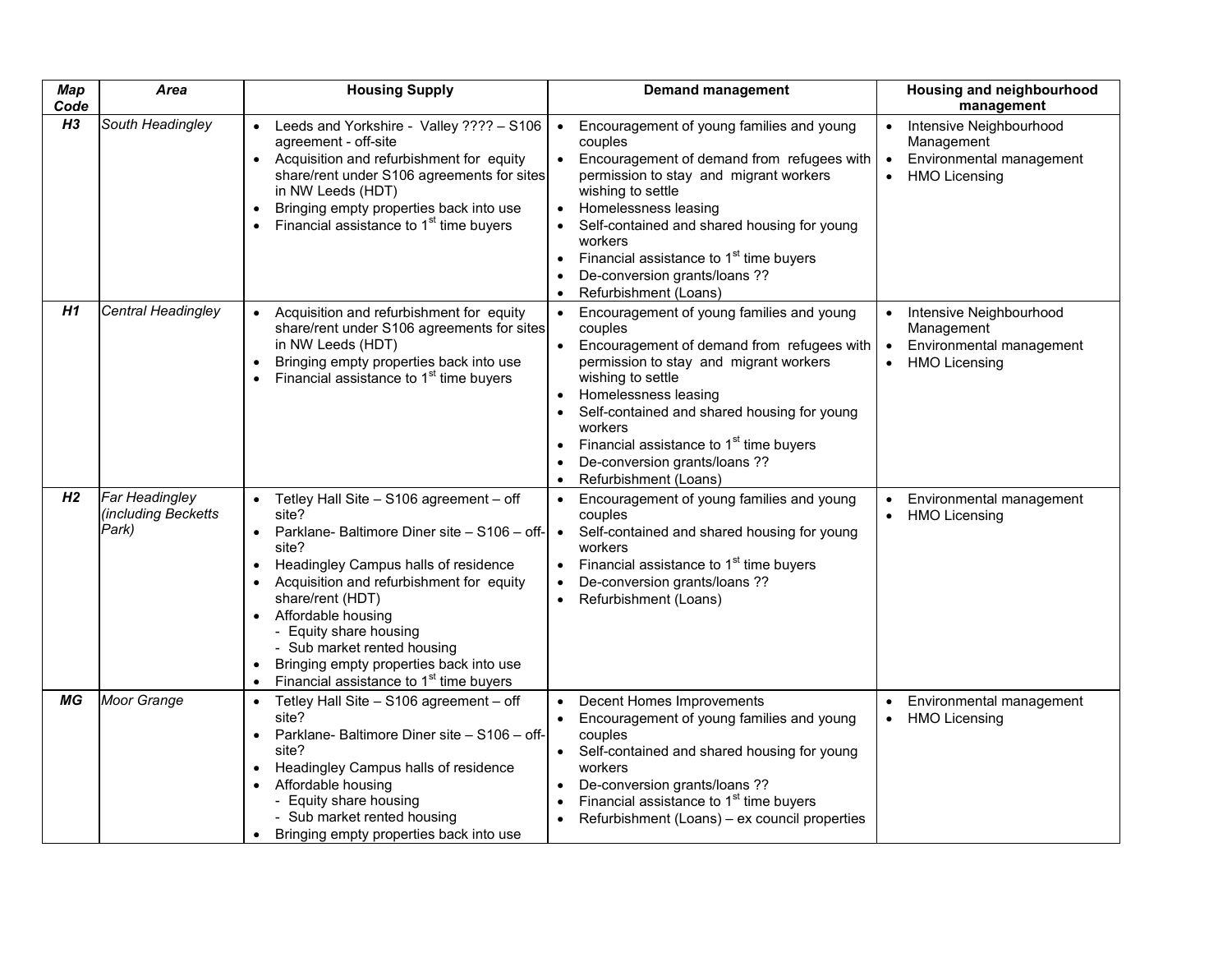| <b>Map</b><br>Code | Area                                           | <b>Housing Supply</b>                                                                                                                                                                                                                                                                                                                                                                       | <b>Demand management</b>                                                                                                                                                                                                                                                                                                                                                                                    | Housing and neighbourhood<br>management                                                                             |
|--------------------|------------------------------------------------|---------------------------------------------------------------------------------------------------------------------------------------------------------------------------------------------------------------------------------------------------------------------------------------------------------------------------------------------------------------------------------------------|-------------------------------------------------------------------------------------------------------------------------------------------------------------------------------------------------------------------------------------------------------------------------------------------------------------------------------------------------------------------------------------------------------------|---------------------------------------------------------------------------------------------------------------------|
| H <sub>3</sub>     | South Headingley                               | Leeds and Yorkshire - Valley ???? - S106<br>agreement - off-site<br>Acquisition and refurbishment for equity<br>share/rent under S106 agreements for sites<br>in NW Leeds (HDT)<br>Bringing empty properties back into use<br>$\bullet$<br>Financial assistance to 1 <sup>st</sup> time buyers                                                                                              | Encouragement of young families and young<br>$\bullet$<br>couples<br>Encouragement of demand from refugees with<br>$\bullet$<br>permission to stay and migrant workers<br>wishing to settle<br>Homelessness leasing<br>Self-contained and shared housing for young<br>workers<br>Financial assistance to 1 <sup>st</sup> time buyers<br>$\bullet$<br>De-conversion grants/loans ??<br>Refurbishment (Loans) | Intensive Neighbourhood<br>Management<br>Environmental management<br>$\bullet$<br><b>HMO Licensing</b><br>$\bullet$ |
| H1                 | Central Headingley                             | Acquisition and refurbishment for equity<br>share/rent under S106 agreements for sites<br>in NW Leeds (HDT)<br>Bringing empty properties back into use<br>$\bullet$<br>Financial assistance to 1 <sup>st</sup> time buyers                                                                                                                                                                  | • Encouragement of young families and young<br>couples<br>• Encouragement of demand from refugees with<br>permission to stay and migrant workers<br>wishing to settle<br>Homelessness leasing<br>Self-contained and shared housing for young<br>workers<br>Financial assistance to 1 <sup>st</sup> time buyers<br>De-conversion grants/loans ??<br>Refurbishment (Loans)                                    | Intensive Neighbourhood<br>Management<br>Environmental management<br>$\bullet$<br><b>HMO Licensing</b><br>$\bullet$ |
| H <sub>2</sub>     | Far Headingley<br>(including Becketts<br>Park) | • Tetley Hall Site - S106 agreement - off<br>site?<br>Parklane-Baltimore Diner site - S106 - off-<br>site?<br>Headingley Campus halls of residence<br>Acquisition and refurbishment for equity<br>share/rent (HDT)<br>• Affordable housing<br>- Equity share housing<br>- Sub market rented housing<br>Bringing empty properties back into use<br>Financial assistance to $1st$ time buyers | Encouragement of young families and young<br>$\bullet$<br>couples<br>Self-contained and shared housing for young<br>$\bullet$<br>workers<br>Financial assistance to 1 <sup>st</sup> time buyers<br>De-conversion grants/loans ??<br>Refurbishment (Loans)                                                                                                                                                   | Environmental management<br>$\bullet$<br><b>HMO Licensing</b><br>$\bullet$                                          |
| МG                 | Moor Grange                                    | Tetley Hall Site - S106 agreement - off<br>$\bullet$<br>site?<br>Parklane- Baltimore Diner site - S106 - off-<br>$\bullet$<br>site?<br>Headingley Campus halls of residence<br>$\bullet$<br>Affordable housing<br>- Equity share housing<br>- Sub market rented housing<br>Bringing empty properties back into use                                                                          | Decent Homes Improvements<br>Encouragement of young families and young<br>$\bullet$<br>couples<br>Self-contained and shared housing for young<br>workers<br>De-conversion grants/loans ??<br>Financial assistance to 1 <sup>st</sup> time buyers<br>Refurbishment (Loans) - ex council properties                                                                                                           | Environmental management<br><b>HMO Licensing</b><br>$\bullet$                                                       |